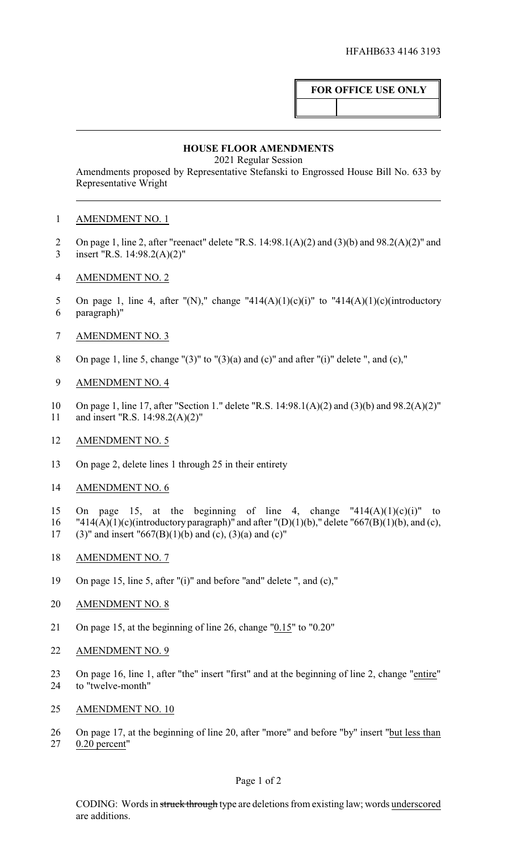# **FOR OFFICE USE ONLY**

### **HOUSE FLOOR AMENDMENTS**

2021 Regular Session

Amendments proposed by Representative Stefanski to Engrossed House Bill No. 633 by Representative Wright

## 1 AMENDMENT NO. 1

- 2 On page 1, line 2, after "reenact" delete "R.S.  $14:98.1(A)(2)$  and  $(3)(b)$  and  $98.2(A)(2)$ " and 3 insert "R.S. 14:98.2(A)(2)"
- 4 AMENDMENT NO. 2
- 5 On page 1, line 4, after "(N)," change "414(A)(1)(c)(i)" to "414(A)(1)(c)(introductory 6 paragraph)"
- 7 AMENDMENT NO. 3
- 8 On page 1, line 5, change "(3)" to "(3)(a) and (c)" and after "(i)" delete ", and (c),"
- 9 AMENDMENT NO. 4
- 10 On page 1, line 17, after "Section 1." delete "R.S. 14:98.1(A)(2) and (3)(b) and 98.2(A)(2)" 11 and insert "R.S. 14:98.2(A)(2)"
- 12 AMENDMENT NO. 5
- 13 On page 2, delete lines 1 through 25 in their entirety
- 14 AMENDMENT NO. 6
- 15 On page 15, at the beginning of line 4, change " $414(A)(1)(c)(i)$ " to
- 16 "414(A)(1)(c)(introductory paragraph)" and after "(D)(1)(b)," delete "667(B)(1)(b), and (c), 17 (3)" and insert "667(B)(1)(b) and (c), (3)(a) and (c)"
- 18 AMENDMENT NO. 7
- 19 On page 15, line 5, after "(i)" and before "and" delete ", and (c),"
- 20 AMENDMENT NO. 8
- 21 On page 15, at the beginning of line 26, change "0.15" to "0.20"
- 22 AMENDMENT NO. 9
- 23 On page 16, line 1, after "the" insert "first" and at the beginning of line 2, change "entire" 24 to "twelve-month"
- 25 AMENDMENT NO. 10
- 26 On page 17, at the beginning of line 20, after "more" and before "by" insert "but less than 27 0.20 percent"

#### Page 1 of 2

CODING: Words in struck through type are deletions from existing law; words underscored are additions.